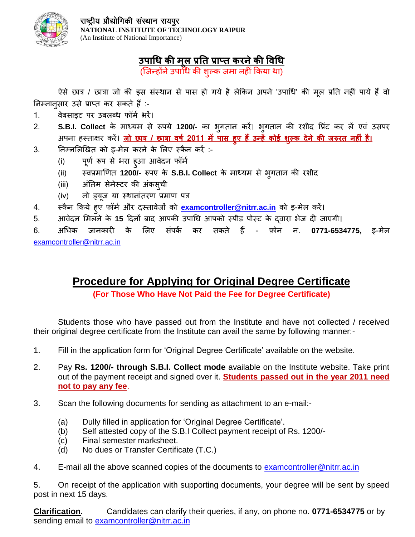

## **उपाधि की मल ू प्रति प्राप्ि करनेकी विधि**

(जिन्होंने उपाधि की शुल्क जमा नहीं किया था)

ऐसे छात्र / छात्रा जो की इस संस्थान से पास हो गये है लेकिन अपने 'उपाधि' की मूल प्रति नहीं पाये हैं वो निम्नानुसार उसे प्राप्त कर सकते हैं:-

- 1. वेबसाइट पर उबलब्ध फॉर्म भरें।
- 2. **S.B.I. Collect** के माध्यम से रूपये 1200/- का भगतान करें। भगतान की रशीद प्रिंट कर लें एवं उसपर अपना हस्िाक्षर करें। **जो छात्र / छात्रा िर्ष 2011 मेंपास हुए हैंउन्हेंकोई शल्ुक देने की जरुरि नह ीं है।**
- 3. निम्नलिखित को इ-मेल करने के लिए स्कैन करें :-
	- (i) पूर्ण रूप से भरा हुआ आवेदन फॉर्म
	- (ii) स्वप्रमाणित 1200/- रुपए के S.B.I. Collect के माध्यम से भगतान की रशीद
	- (iii) अंतिम सेमेस्टर की अंकस्**ची**
	- (iv) नो इयूज या स्थानांतरण प्रमाण पत्र
- 4. स्कैन किये हुए फॉर्म और दस्तावेजों को <mark>[examcontroller@nitrr.ac.in](mailto:examcontroller@nitrr.ac.in)</mark> को इ-मेल करें।
- 5. अावेदन मिलने के 1**5** दिनों बाद आपकी उपाधि आपको स्पीड पोस्ट के द्वारा भेज दी जाएगी।

6. अधिक िानकार के ललए सींपकम कर सकिे हैं - फ़ोन न. **0771-6534775,** इ-मेल [examcontroller@nitrr.ac.in](mailto:examcontroller@nitrr.ac.in)

### **Procedure for Applying for Original Degree Certificate**

**(For Those Who Have Not Paid the Fee for Degree Certificate)**

Students those who have passed out from the Institute and have not collected / received their original degree certificate from the Institute can avail the same by following manner:-

- 1. Fill in the application form for 'Original Degree Certificate' available on the website.
- 2. Pay **Rs. 1200/- through S.B.I. Collect mode** available on the Institute website. Take print out of the payment receipt and signed over it. **Students passed out in the year 2011 need not to pay any fee**.
- 3. Scan the following documents for sending as attachment to an e-mail:-
	- (a) Dully filled in application for 'Original Degree Certificate'.
	- (b) Self attested copy of the S.B.I Collect payment receipt of Rs. 1200/-
	- (c) Final semester marksheet.
	- (d) No dues or Transfer Certificate (T.C.)
- 4. E-mail all the above scanned copies of the documents to [examcontroller@nitrr.ac.in](mailto:examcontroller@nitrr.ac.in)

5. On receipt of the application with supporting documents, your degree will be sent by speed post in next 15 days.

**Clarification.** Candidates can clarify their queries, if any, on phone no. **0771-6534775** or by sending email to [examcontroller@nitrr.ac.in](mailto:examcontroller@nitrr.ac.in)